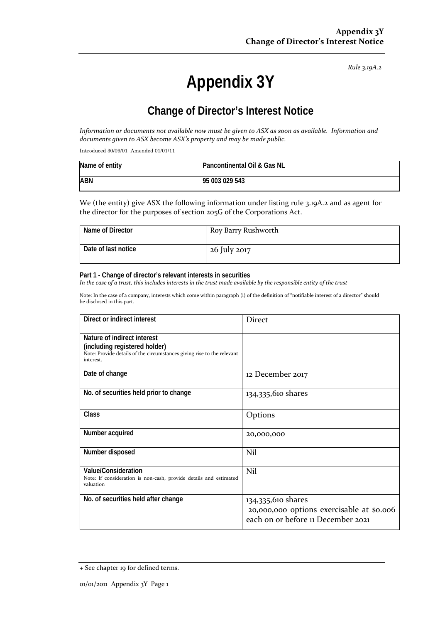*Rule 3.19A.2*

# **Appendix 3Y**

# **Change of Director's Interest Notice**

Information or documents not available now must be given to ASX as soon as available. Information and *documents given to ASX become ASX's property and may be made public.*

Introduced 30/09/01 Amended 01/01/11

| Name of entity | Pancontinental Oil & Gas NL |
|----------------|-----------------------------|
| <b>ABN</b>     | 95 003 029 543              |

We (the entity) give ASX the following information under listing rule 3.19A.2 and as agent for the director for the purposes of section 205G of the Corporations Act.

| Name of Director    | Roy Barry Rushworth |
|---------------------|---------------------|
| Date of last notice | 26 July 2017        |

#### **Part 1 - Change of director's relevant interests in securities**

In the case of a trust, this includes interests in the trust made available by the responsible entity of the trust

Note: In the case of a company, interests which come within paragraph (i) of the definition of "notifiable interest of a director" should be disclosed in this part.

| Direct or indirect interest                                                                                                                         | <b>Direct</b>                                                                                         |
|-----------------------------------------------------------------------------------------------------------------------------------------------------|-------------------------------------------------------------------------------------------------------|
| Nature of indirect interest<br>(including registered holder)<br>Note: Provide details of the circumstances giving rise to the relevant<br>interest. |                                                                                                       |
| Date of change                                                                                                                                      | 12 December 2017                                                                                      |
| No. of securities held prior to change                                                                                                              | 134,335,610 shares                                                                                    |
| Class                                                                                                                                               | Options                                                                                               |
| Number acquired                                                                                                                                     | 20,000,000                                                                                            |
| Number disposed                                                                                                                                     | Nil                                                                                                   |
| Value/Consideration<br>Note: If consideration is non-cash, provide details and estimated<br>valuation                                               | Nil                                                                                                   |
| No. of securities held after change                                                                                                                 | 134,335,610 shares<br>20,000,000 options exercisable at \$0.006<br>each on or before 11 December 2021 |

<sup>+</sup> See chapter 19 for defined terms.